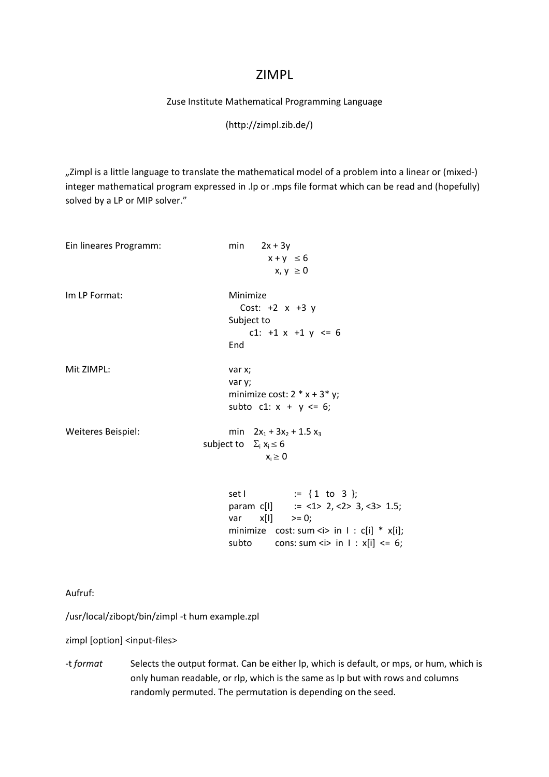### ZIMPL

#### Zuse Institute Mathematical Programming Language

#### (http://zimpl.zib.de/)

",Zimpl is a little language to translate the mathematical model of a problem into a linear or (mixed-) integer mathematical program expressed in .lp or .mps file format which can be read and (hopefully) solved by a LP or MIP solver."

| Ein lineares Programm: | min $2x + 3y$<br>$x + y \le 6$<br>$x, y \ge 0$                                                                                                                                                        |
|------------------------|-------------------------------------------------------------------------------------------------------------------------------------------------------------------------------------------------------|
| Im LP Format:          | Minimize<br>Cost: $+2 x +3 y$<br>Subject to<br>c1: $+1 x +1 y \le 6$<br>End                                                                                                                           |
| Mit ZIMPL:             | var x;<br>var y;<br>minimize cost: $2 * x + 3 * y$ ;<br>subto c1: $x + y \le 6$ ;                                                                                                                     |
| Weiteres Beispiel:     | min $2x_1 + 3x_2 + 1.5x_3$<br>subject to $\Sigma_i$ $x_i \le 6$<br>$x_i \geq 0$                                                                                                                       |
|                        | set $\vert$ := {1 to 3 };<br>param c[I] $:=$ <1> 2, <2> 3, <3> 1.5;<br>var $x[1]$ >= 0;<br>minimize $cost: sum < i> in 1 : c[i] * x[i];$<br>subto cons: sum <i> in <math>1 : x[i]</math> &lt;= 6;</i> |

Aufruf:

/usr/local/zibopt/bin/zimpl ‐t hum example.zpl

zimpl [option] <input-files>

‐t *format* Selects the output format. Can be either lp, which is default, or mps, or hum, which is only human readable, or rlp, which is the same as lp but with rows and columns randomly permuted. The permutation is depending on the seed.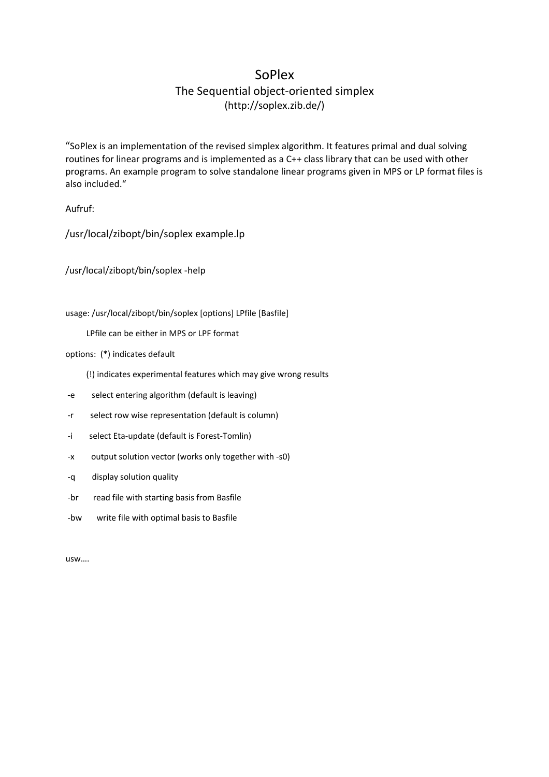## SoPlex

# The Sequential object‐oriented simplex

(http://soplex.zib.de/)

"SoPlex is an implementation of the revised simplex algorithm. It features primal and dual solving routines for linear programs and is implemented as a C++ class library that can be used with other programs. An example program to solve standalone linear programs given in MPS or LP format files is also included."

Aufruf:

/usr/local/zibopt/bin/soplex example.lp

/usr/local/zibopt/bin/soplex ‐help

usage: /usr/local/zibopt/bin/soplex [options] LPfile [Basfile]

LPfile can be either in MPS or LPF format

options: (\*) indicates default

- (!) indicates experimental features which may give wrong results
- ‐e select entering algorithm (default is leaving)
- ‐r select row wise representation (default is column)
- ‐i select Eta‐update (default is Forest‐Tomlin)
- ‐x output solution vector (works only together with ‐s0)
- ‐q display solution quality
- ‐br read file with starting basis from Basfile
- ‐bw write file with optimal basis to Basfile

usw….